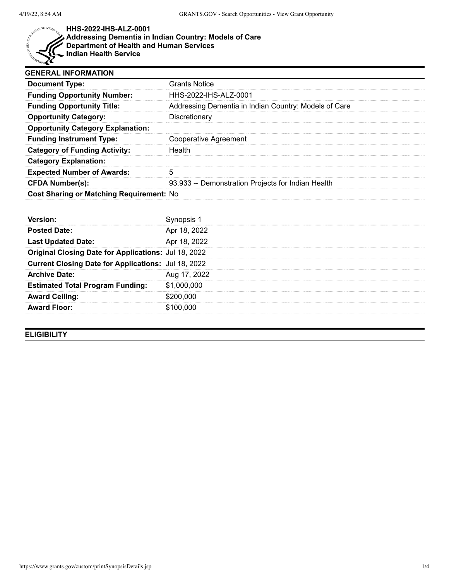

**HHS-2022-IHS-ALZ-0001 Addressing Dementia in Indian Country: Models of Care Department of Health and Human Services Indian Health Service**

| <b>GENERAL INFORMATION</b>               |                                                       |
|------------------------------------------|-------------------------------------------------------|
| <b>Document Type:</b>                    | Grants Notice                                         |
| <b>Funding Opportunity Number:</b>       | HHS-2022-IHS-ALZ-0001                                 |
| <b>Funding Opportunity Title:</b>        | Addressing Dementia in Indian Country: Models of Care |
| <b>Opportunity Category:</b>             | Discretionary                                         |
| <b>Opportunity Category Explanation:</b> |                                                       |
| <b>Funding Instrument Type:</b>          | Cooperative Agreement                                 |
| <b>Category of Funding Activity:</b>     | <b>Health</b>                                         |
| <b>Category Explanation:</b>             |                                                       |
| <b>Expected Number of Awards:</b>        | 5                                                     |
| <b>CFDA Number(s):</b>                   | 93.933 -- Demonstration Projects for Indian Health    |
| Cost Sharing or Matching Requirement: No |                                                       |

| <b>Posted Date:</b>                                        | Apr 18, 2022 |
|------------------------------------------------------------|--------------|
| <b>Last Updated Date:</b>                                  | Apr 18, 2022 |
| Original Closing Date for Applications: Jul 18, 2022       |              |
| <b>Current Closing Date for Applications: Jul 18, 2022</b> |              |
| <b>Archive Date:</b>                                       | Aug 17, 2022 |
| <b>Estimated Total Program Funding:</b>                    | \$1,000,000  |
| <b>Award Ceiling:</b>                                      | \$200,000    |
| <b>Award Floor:</b>                                        | \$100,000    |

**ELIGIBILITY**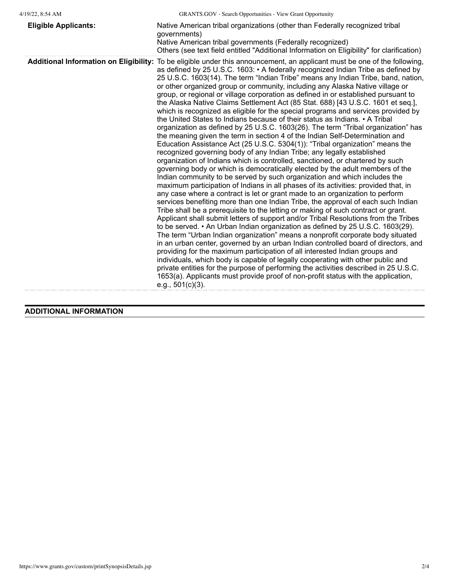| <b>Eligible Applicants:</b>                   | Native American tribal organizations (other than Federally recognized tribal<br>governments)<br>Native American tribal governments (Federally recognized)<br>Others (see text field entitled "Additional Information on Eligibility" for clarification)                                                                                                                                                                                                                                                                                                                                                                                                                                                                                                                                                                                                                                                                                                                                                                                                                                                                                                                                                                                                                                                                                                                                                                                                                                                                                                                                                                                                                                                                                                                                                                                                                                                                                                                                                                                                                                                                                                                                                                                                                                                                                           |
|-----------------------------------------------|---------------------------------------------------------------------------------------------------------------------------------------------------------------------------------------------------------------------------------------------------------------------------------------------------------------------------------------------------------------------------------------------------------------------------------------------------------------------------------------------------------------------------------------------------------------------------------------------------------------------------------------------------------------------------------------------------------------------------------------------------------------------------------------------------------------------------------------------------------------------------------------------------------------------------------------------------------------------------------------------------------------------------------------------------------------------------------------------------------------------------------------------------------------------------------------------------------------------------------------------------------------------------------------------------------------------------------------------------------------------------------------------------------------------------------------------------------------------------------------------------------------------------------------------------------------------------------------------------------------------------------------------------------------------------------------------------------------------------------------------------------------------------------------------------------------------------------------------------------------------------------------------------------------------------------------------------------------------------------------------------------------------------------------------------------------------------------------------------------------------------------------------------------------------------------------------------------------------------------------------------------------------------------------------------------------------------------------------------|
| <b>Additional Information on Eligibility:</b> | To be eligible under this announcement, an applicant must be one of the following,<br>as defined by 25 U.S.C. 1603: • A federally recognized Indian Tribe as defined by<br>25 U.S.C. 1603(14). The term "Indian Tribe" means any Indian Tribe, band, nation,<br>or other organized group or community, including any Alaska Native village or<br>group, or regional or village corporation as defined in or established pursuant to<br>the Alaska Native Claims Settlement Act (85 Stat. 688) [43 U.S.C. 1601 et seq.],<br>which is recognized as eligible for the special programs and services provided by<br>the United States to Indians because of their status as Indians. • A Tribal<br>organization as defined by 25 U.S.C. 1603(26). The term "Tribal organization" has<br>the meaning given the term in section 4 of the Indian Self-Determination and<br>Education Assistance Act (25 U.S.C. 5304(1)): "Tribal organization" means the<br>recognized governing body of any Indian Tribe; any legally established<br>organization of Indians which is controlled, sanctioned, or chartered by such<br>governing body or which is democratically elected by the adult members of the<br>Indian community to be served by such organization and which includes the<br>maximum participation of Indians in all phases of its activities: provided that, in<br>any case where a contract is let or grant made to an organization to perform<br>services benefiting more than one Indian Tribe, the approval of each such Indian<br>Tribe shall be a prerequisite to the letting or making of such contract or grant.<br>Applicant shall submit letters of support and/or Tribal Resolutions from the Tribes<br>to be served. • An Urban Indian organization as defined by 25 U.S.C. 1603(29).<br>The term "Urban Indian organization" means a nonprofit corporate body situated<br>in an urban center, governed by an urban Indian controlled board of directors, and<br>providing for the maximum participation of all interested Indian groups and<br>individuals, which body is capable of legally cooperating with other public and<br>private entities for the purpose of performing the activities described in 25 U.S.C.<br>1653(a). Applicants must provide proof of non-profit status with the application,<br>e.g., $501(c)(3)$ . |

## **ADDITIONAL INFORMATION**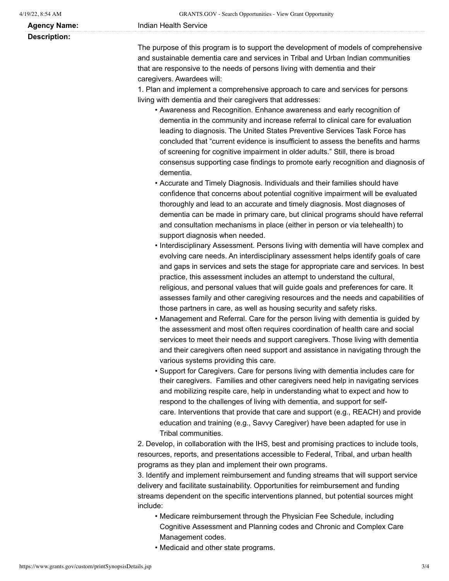**Description:**

The purpose of this program is to support the development of models of comprehensive and sustainable dementia care and services in Tribal and Urban Indian communities that are responsive to the needs of persons living with dementia and their caregivers. Awardees will:

1. Plan and implement a comprehensive approach to care and services for persons living with dementia and their caregivers that addresses:

- Awareness and Recognition. Enhance awareness and early recognition of dementia in the community and increase referral to clinical care for evaluation leading to diagnosis. The United States Preventive Services Task Force has concluded that "current evidence is insufficient to assess the benefits and harms of screening for cognitive impairment in older adults." Still, there is broad consensus supporting case findings to promote early recognition and diagnosis of dementia.
- Accurate and Timely Diagnosis. Individuals and their families should have confidence that concerns about potential cognitive impairment will be evaluated thoroughly and lead to an accurate and timely diagnosis. Most diagnoses of dementia can be made in primary care, but clinical programs should have referral and consultation mechanisms in place (either in person or via telehealth) to support diagnosis when needed.
- Interdisciplinary Assessment. Persons living with dementia will have complex and evolving care needs. An interdisciplinary assessment helps identify goals of care and gaps in services and sets the stage for appropriate care and services. In best practice, this assessment includes an attempt to understand the cultural, religious, and personal values that will guide goals and preferences for care. It assesses family and other caregiving resources and the needs and capabilities of those partners in care, as well as housing security and safety risks.
- Management and Referral. Care for the person living with dementia is guided by the assessment and most often requires coordination of health care and social services to meet their needs and support caregivers. Those living with dementia and their caregivers often need support and assistance in navigating through the various systems providing this care.
- Support for Caregivers. Care for persons living with dementia includes care for their caregivers. Families and other caregivers need help in navigating services and mobilizing respite care, help in understanding what to expect and how to respond to the challenges of living with dementia, and support for selfcare. Interventions that provide that care and support (e.g., REACH) and provide education and training (e.g., Savvy Caregiver) have been adapted for use in Tribal communities.

2. Develop, in collaboration with the IHS, best and promising practices to include tools, resources, reports, and presentations accessible to Federal, Tribal, and urban health programs as they plan and implement their own programs.

3. Identify and implement reimbursement and funding streams that will support service delivery and facilitate sustainability. Opportunities for reimbursement and funding streams dependent on the specific interventions planned, but potential sources might include:

- Medicare reimbursement through the Physician Fee Schedule, including Cognitive Assessment and Planning codes and Chronic and Complex Care Management codes.
- Medicaid and other state programs.